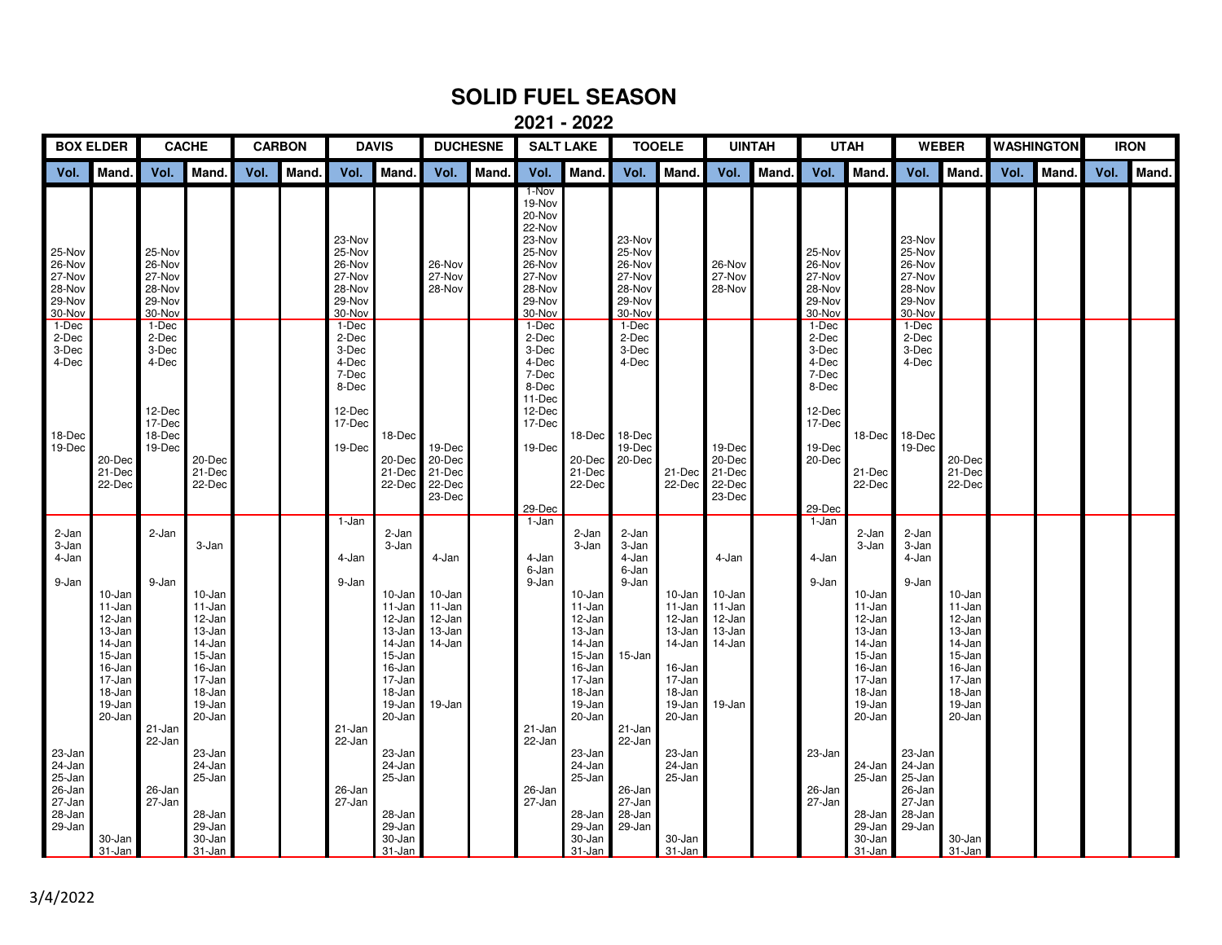## **SOLID FUEL SEASON**

**2021 - 2022**

| <b>BOX ELDER</b>                                                   |                                                                                                            | <b>CACHE</b>                                                             |                                                                                                                     | <b>CARBON</b> |       | <b>DAVIS</b>                                                                     |                                                                                                                                  | <b>DUCHESNE</b>                                                   |       | <b>SALT LAKE</b>                                                                                          |                                                                                                                              | <b>TOOELE</b>                                                      |                                                                                                  | <b>UINTAH</b>                                                     |       | <b>UTAH</b>                                                                                               |                                                                                                                              | <b>WEBER</b>                                                       |                                                                                                            | <b>WASHINGTON</b> |       | <b>IRON</b> |       |
|--------------------------------------------------------------------|------------------------------------------------------------------------------------------------------------|--------------------------------------------------------------------------|---------------------------------------------------------------------------------------------------------------------|---------------|-------|----------------------------------------------------------------------------------|----------------------------------------------------------------------------------------------------------------------------------|-------------------------------------------------------------------|-------|-----------------------------------------------------------------------------------------------------------|------------------------------------------------------------------------------------------------------------------------------|--------------------------------------------------------------------|--------------------------------------------------------------------------------------------------|-------------------------------------------------------------------|-------|-----------------------------------------------------------------------------------------------------------|------------------------------------------------------------------------------------------------------------------------------|--------------------------------------------------------------------|------------------------------------------------------------------------------------------------------------|-------------------|-------|-------------|-------|
| Vol.                                                               | Mand.                                                                                                      | Vol.                                                                     | Mand.                                                                                                               | Vol.          | Mand. | Vol.                                                                             | Mand.                                                                                                                            | Vol.                                                              | Mand. | Vol.                                                                                                      | Mand.                                                                                                                        | Vol.                                                               | Mand.                                                                                            | Vol.                                                              | Mand. | Vol.                                                                                                      | Mand.                                                                                                                        | Vol.                                                               | Mand.                                                                                                      | Vol.              | Mand. | Vol.        | Mand. |
| 25-Nov<br>26-Nov<br>27-Nov<br>28-Nov<br>29-Nov<br>30-Nov           |                                                                                                            | 25-Nov<br>26-Nov<br>27-Nov<br>28-Nov<br>29-Nov<br>30-Nov                 |                                                                                                                     |               |       | 23-Nov<br>25-Nov<br>26-Nov<br>27-Nov<br>28-Nov<br>29-Nov<br>30-Nov               |                                                                                                                                  | 26-Nov<br>27-Nov<br>28-Nov                                        |       | 1-Nov<br>19-Nov<br>20-Nov<br>22-Nov<br>23-Nov<br>25-Nov<br>26-Nov<br>27-Nov<br>28-Nov<br>29-Nov<br>30-Nov |                                                                                                                              | 23-Nov<br>25-Nov<br>26-Nov<br>27-Nov<br>28-Nov<br>29-Nov<br>30-Nov |                                                                                                  | 26-Nov<br>27-Nov<br>28-Nov                                        |       | 25-Nov<br>26-Nov<br>27-Nov<br>28-Nov<br>29-Nov<br>30-Nov                                                  |                                                                                                                              | 23-Nov<br>25-Nov<br>26-Nov<br>27-Nov<br>28-Nov<br>29-Nov<br>30-Nov |                                                                                                            |                   |       |             |       |
| 1-Dec<br>2-Dec<br>3-Dec<br>4-Dec<br>18-Dec<br>19-Dec               | 20-Dec<br>21-Dec<br>22-Dec                                                                                 | 1-Dec<br>2-Dec<br>3-Dec<br>4-Dec<br>12-Dec<br>17-Dec<br>18-Dec<br>19-Dec | 20-Dec<br>21-Dec<br>22-Dec                                                                                          |               |       | 1-Dec<br>2-Dec<br>3-Dec<br>4-Dec<br>7-Dec<br>8-Dec<br>12-Dec<br>17-Dec<br>19-Dec | 18-Dec<br>20-Dec<br>21-Dec<br>22-Dec                                                                                             | 19-Dec<br>20-Dec<br>21-Dec<br>22-Dec<br>23-Dec                    |       | 1-Dec<br>2-Dec<br>3-Dec<br>4-Dec<br>7-Dec<br>8-Dec<br>11-Dec<br>12-Dec<br>17-Dec<br>19-Dec<br>29-Dec      | 18-Dec 18-Dec<br>20-Dec 20-Dec<br>21-Dec<br>22-Dec                                                                           | 1-Dec<br>2-Dec<br>3-Dec<br>4-Dec<br>19-Dec                         | 21-Dec<br>22-Dec                                                                                 | 19-Dec<br>20-Dec<br>21-Dec<br>22-Dec<br>23-Dec                    |       | $1-Dec$<br>2-Dec<br>3-Dec<br>4-Dec<br>7-Dec<br>8-Dec<br>12-Dec<br>17-Dec<br>19-Dec<br>$20$ -Dec<br>29-Dec | 18-Dec<br>21-Dec<br>22-Dec                                                                                                   | $1-Dec$<br>2-Dec<br>3-Dec<br>4-Dec<br>18-Dec<br>19-Dec             | 20-Dec<br>21-Dec<br>22-Dec                                                                                 |                   |       |             |       |
| 2-Jan<br>3-Jan<br>4-Jan<br>9-Jan                                   | 10-Jan<br>11-Jan<br>12-Jan<br>13-Jan<br>14-Jan<br>15-Jan<br>16-Jan<br>17-Jan<br>18-Jan<br>19-Jan<br>20-Jan | 2-Jan<br>9-Jan<br>21-Jan                                                 | 3-Jan<br>10-Jan<br>11-Jan<br>12-Jan<br>13-Jan<br>14-Jan<br>15-Jan<br>16-Jan<br>17-Jan<br>18-Jan<br>19-Jan<br>20-Jan |               |       | 1-Jan<br>4-Jan<br>9-Jan<br>21-Jan                                                | 2-Jan<br>3-Jan<br>10-Jan<br>11-Jan<br>12-Jan<br>13-Jan<br>14-Jan<br>15-Jan<br>16-Jan<br>17-Jan<br>18-Jan<br>$19 - Jan$<br>20-Jan | 4-Jan<br>10-Jan<br>11-Jan<br>12-Jan<br>13-Jan<br>14-Jan<br>19-Jan |       | 1-Jan<br>4-Jan<br>6-Jan<br>9-Jan<br>21-Jan                                                                | 2-Jan<br>3-Jan<br>10-Jan<br>11-Jan<br>12-Jan<br>13-Jan<br>14-Jan<br>15-Jan<br>16-Jan<br>17-Jan<br>18-Jan<br>19-Jan<br>20-Jan | 2-Jan<br>3-Jan<br>4-Jan<br>6-Jan<br>9-Jan<br>15-Jan<br>21-Jan      | 10-Jan<br>11-Jan<br>12-Jan<br>13-Jan<br>14-Jan<br>16-Jan<br>17-Jan<br>18-Jan<br>19-Jan<br>20-Jan | 4-Jan<br>10-Jan<br>11-Jan<br>12-Jan<br>13-Jan<br>14-Jan<br>19-Jan |       | 1-Jan<br>4-Jan<br>9-Jan                                                                                   | 2-Jan<br>3-Jan<br>10-Jan<br>11-Jan<br>12-Jan<br>13-Jan<br>14-Jan<br>15-Jan<br>16-Jan<br>17-Jan<br>18-Jan<br>19-Jan<br>20-Jan | 2-Jan<br>3-Jan<br>4-Jan<br>9-Jan                                   | 10-Jan<br>11-Jan<br>12-Jan<br>13-Jan<br>14-Jan<br>15-Jan<br>16-Jan<br>17-Jan<br>18-Jan<br>19-Jan<br>20-Jan |                   |       |             |       |
| 23-Jan<br>24-Jan<br>25-Jan<br>26-Jan<br>27-Jan<br>28-Jan<br>29-Jan | 30-Jan<br>31-Jan                                                                                           | 22-Jan<br>26-Jan<br>27-Jan                                               | 23-Jan<br>24-Jan<br>25-Jan<br>28-Jan<br>29-Jan<br>30-Jan<br>31-Jan                                                  |               |       | 22-Jan<br>26-Jan<br>27-Jan                                                       | 23-Jan<br>24-Jan<br>25-Jan<br>28-Jan<br>29-Jan<br>30-Jan<br>31-Jan                                                               |                                                                   |       | 22-Jan<br>26-Jan<br>27-Jan                                                                                | 23-Jan<br>24-Jan<br>25-Jan<br>28-Jan 28-Jan<br>29-Jan<br>30-Jan<br>31-Jan                                                    | 22-Jan<br>26-Jan<br>27-Jan<br>29-Jan                               | 23-Jan<br>24-Jan<br>25-Jan<br>30-Jan<br>$31 - Jan$                                               |                                                                   |       | 23-Jan<br>26-Jan<br>27-Jan                                                                                | 24-Jan<br>25-Jan<br>28-Jan<br>$29$ -Jan<br>30-Jan<br>31-Jan                                                                  | 23-Jan<br>24-Jan<br>25-Jan<br>26-Jan<br>27-Jan<br>28-Jan<br>29-Jan | 30-Jan<br>31-Jan                                                                                           |                   |       |             |       |